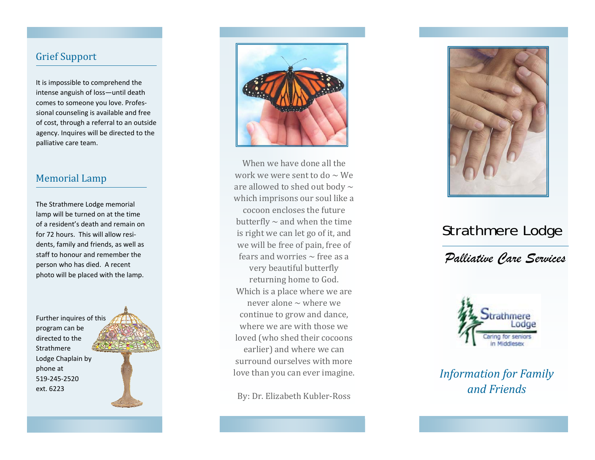## Grief Support

It is impossible to comprehend the intense anguish of loss—until death comes to someone you love. Profes‐ sional counseling is available and free of cost, through <sup>a</sup> referral to an outside agency. Inquires will be directed to the palliative care team.

## Memorial Lamp

The Strathmere Lodge memorial lamp will be turned on at the time of a resident's death and remain on for 72 hours. This will allow resi‐ dents, family and friends, as well as staff to honour and remember the person who has died. A recent photo will be placed with the lamp.

Further inquires of this program can be directed to the **Strathmere**  Lodge Chaplain by phone at 519‐245‐2520ext. 6223





When we have done all the work we were sent to do  $\sim$  We are allowed to shed out body  $\sim$ which imprisons our soul like a cocoon encloses the future butterfly  $\sim$  and when the time is right we can let go of it, and we will be free of pain, free of fears and worries  $\sim$  free as a very beautiful butterfly returning home to God. Which is a place where we are never alone  $\sim$  where we continue to grow and dance, where we are with those we loved (who shed their cocoons earlier) and where we can surround ourselves with more love than you can ever imagine.

By: Dr. Elizabeth Kubler‐Ross



# Strathmere Lodge

*Palliative Care Services* 



*Information for Family and Friends*